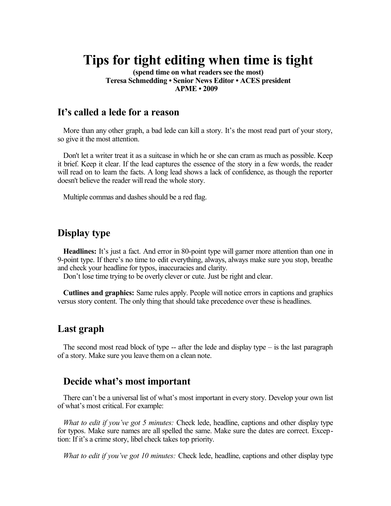# **Tips for tight editing when time is tight**

**(spend time on what readers see the most) Teresa Schmedding • Senior News Editor • ACES president APME • 2009** 

### **It's called a lede for a reason**

More than any other graph, a bad lede can kill a story. It's the most read part of your story, so give it the most attention.

Don't let a writer treat it as a suitcase in which he or she can cram as much as possible. Keep it brief. Keep it clear. If the lead captures the essence of the story in a few words, the reader will read on to learn the facts. A long lead shows a lack of confidence, as though the reporter doesn't believe the reader will read the whole story.

Multiple commas and dashes should be a red flag.

## **Display type**

**Headlines:** It's just a fact. And error in 80-point type will garner more attention than one in 9-point type. If there's no time to edit everything, always, always make sure you stop, breathe and check your headline for typos, inaccuracies and clarity.

Don't lose time trying to be overly clever or cute. Just be right and clear.

**Cutlines and graphics:** Same rules apply. People will notice errors in captions and graphics versus story content. The only thing that should take precedence over these is headlines.

## **Last graph**

The second most read block of type  $-$  after the lede and display type  $-$  is the last paragraph of a story. Make sure you leave them on a clean note.

### **Decide what's most important**

There can't be a universal list of what's most important in every story. Develop your own list of what's most critical. For example:

*What to edit if you've got 5 minutes:* Check lede, headline, captions and other display type for typos. Make sure names are all spelled the same. Make sure the dates are correct. Exception: If it's a crime story, libel check takes top priority.

*What to edit if you've got 10 minutes:* Check lede, headline, captions and other display type